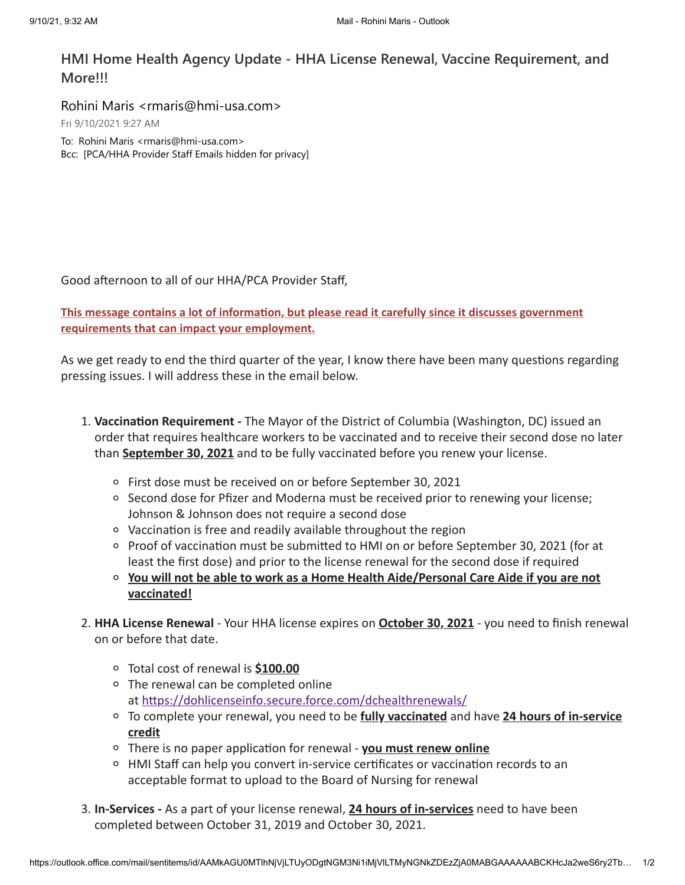## **HMI Home Health Agency Update - HHA License Renewal, Vaccine Requirement, and More!!!**

Rohini Maris <rmaris@hmi-usa.com> Fri 9/10/2021 9:27 AM To: Rohini Maris <rmaris@hmi-usa.com> Bcc: [PCA/HHA Provider Staff Emails hidden for privacy]

Good afternoon to all of our HHA/PCA Provider Staff,

**This message contains a lot of information, but please read it carefully since it discusses government requirements that can impact your employment.**

As we get ready to end the third quarter of the year, I know there have been many questions regarding pressing issues. I will address these in the email below.

- 1. **Vaccination Requirement -** The Mayor of the District of Columbia (Washington, DC) issued an order that requires healthcare workers to be vaccinated and to receive their second dose no later than **September 30, 2021** and to be fully vaccinated before you renew your license.
	- First dose must be received on or before September 30, 2021
	- $\circ$  Second dose for Pfizer and Moderna must be received prior to renewing your license; Johnson & Johnson does not require a second dose
	- Vaccination is free and readily available throughout the region
	- o Proof of vaccination must be submitted to HMI on or before September 30, 2021 (for at least the first dose) and prior to the license renewal for the second dose if required
	- **You will not be able to work as a Home Health Aide/Personal Care Aide if you are not vaccinated!**
- 2. **HHA License Renewal** Your HHA license expires on **October 30, 2021** you need to finish renewal on or before that date.
	- Total cost of renewal is **\$100.00**
	- The renewal can be completed online at <https://dohlicenseinfo.secure.force.com/dchealthrenewals/>
	- To complete your renewal, you need to be **fully vaccinated** and have **24 hours of in-service credit**
	- There is no paper application for renewal **you must renew online**
	- HMI Staff can help you convert in-service certificates or vaccination records to an acceptable format to upload to the Board of Nursing for renewal
- 3. **In-Services -** As a part of your license renewal, **24 hours of in-services** need to have been completed between October 31, 2019 and October 30, 2021.